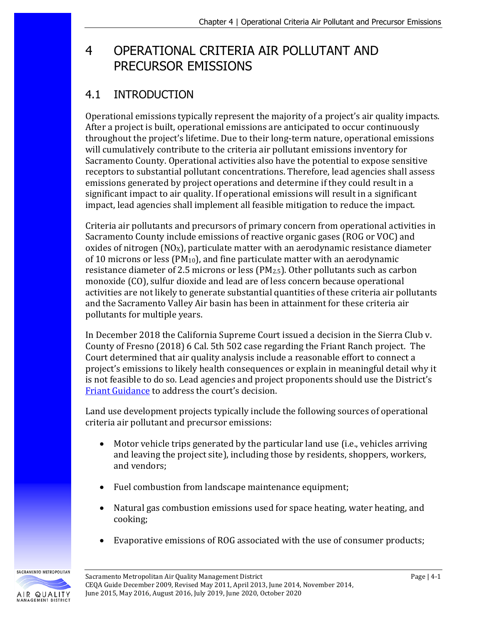# 4 OPERATIONAL CRITERIA AIR POLLUTANT AND PRECURSOR EMISSIONS

## 4.1 INTRODUCTION

Operational emissions typically represent the majority of a project's air quality impacts. After a project is built, operational emissions are anticipated to occur continuously throughout the project's lifetime. Due to their long-term nature, operational emissions will cumulatively contribute to the criteria air pollutant emissions inventory for Sacramento County. Operational activities also have the potential to expose sensitive receptors to substantial pollutant concentrations. Therefore, lead agencies shall assess emissions generated by project operations and determine if they could result in a significant impact to air quality. If operational emissions will result in a significant impact, lead agencies shall implement all feasible mitigation to reduce the impact.

Criteria air pollutants and precursors of primary concern from operational activities in Sacramento County include emissions of reactive organic gases (ROG or VOC) and oxides of nitrogen  $(NOx)$ , particulate matter with an aerodynamic resistance diameter of 10 microns or less (PM10), and fine particulate matter with an aerodynamic resistance diameter of 2.5 microns or less (PM2.5). Other pollutants such as carbon monoxide (CO), sulfur dioxide and lead are of less concern because operational activities are not likely to generate substantial quantities of these criteria air pollutants and the Sacramento Valley Air basin has been in attainment for these criteria air pollutants for multiple years.

In December 2018 the California Supreme Court issued a decision in the Sierra Club v. County of Fresno (2018) 6 Cal. 5th 502 case regarding the Friant Ranch project. The Court determined that air quality analysis include a reasonable effort to connect a project's emissions to likely health consequences or explain in meaningful detail why it is not feasible to do so. Lead agencies and project proponents should use the District's [Friant Guidance](http://www.airquality.org/Businesses/CEQA-Land-Use-Planning/CEQA-Guidance-Tools) to address the court's decision.

Land use development projects typically include the following sources of operational criteria air pollutant and precursor emissions:

- Motor vehicle trips generated by the particular land use (i.e., vehicles arriving and leaving the project site), including those by residents, shoppers, workers, and vendors;
- Fuel combustion from landscape maintenance equipment;
- Natural gas combustion emissions used for space heating, water heating, and cooking;
- Evaporative emissions of ROG associated with the use of consumer products;

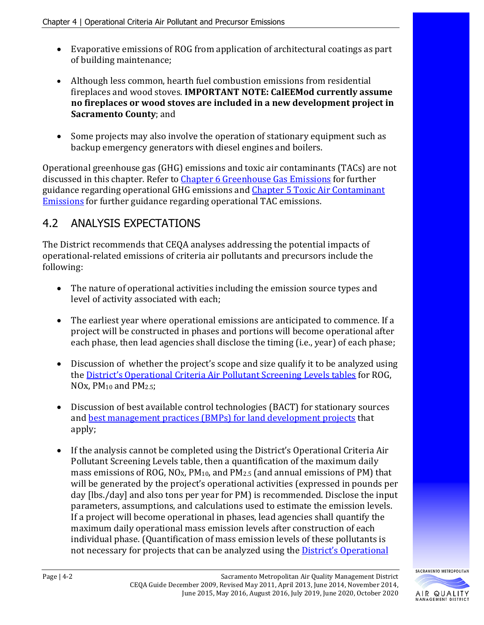- Evaporative emissions of ROG from application of architectural coatings as part of building maintenance;
- Although less common, hearth fuel combustion emissions from residential fireplaces and wood stoves. **IMPORTANT NOTE: CalEEMod currently assume no fireplaces or wood stoves are included in a new development project in Sacramento County**; and
- Some projects may also involve the operation of stationary equipment such as backup emergency generators with diesel engines and boilers.

Operational greenhouse gas (GHG) emissions and toxic air contaminants (TACs) are not discussed in this chapter. Refer to [Chapter 6 Greenhouse Gas Emissions](http://www.airquality.org/Businesses/CEQA-Land-Use-Planning/CEQA-Guidance-Tools) for further guidance regarding operational GHG emissions an[d Chapter 5 Toxic Air Contaminant](http://www.airquality.org/Businesses/CEQA-Land-Use-Planning/CEQA-Guidance-Tools)  [Emissions](http://www.airquality.org/Businesses/CEQA-Land-Use-Planning/CEQA-Guidance-Tools) for further guidance regarding operational TAC emissions.

## 4.2 ANALYSIS EXPECTATIONS

The District recommends that CEQA analyses addressing the potential impacts of operational-related emissions of criteria air pollutants and precursors include the following:

- The nature of operational activities including the emission source types and level of activity associated with each;
- The earliest year where operational emissions are anticipated to commence. If a project will be constructed in phases and portions will become operational after each phase, then lead agencies shall disclose the timing (i.e., year) of each phase;
- Discussion of whether the project's scope and size qualify it to be analyzed using the [District's Operational Criteria Air Pollutant Screening Levels tables](http://www.airquality.org/Businesses/CEQA-Land-Use-Planning/CEQA-Guidance-Tools) for ROG, NOx, PM10 and PM2.5;
- Discussion of best available control technologies (BACT) for stationary sources and [best management practices \(BMPs\) for land development projects](http://www.airquality.org/Businesses/CEQA-Land-Use-Planning/CEQA-Guidance-Tools) that apply;
- If the analysis cannot be completed using the District's Operational Criteria Air Pollutant Screening Levels table, then a quantification of the maximum daily mass emissions of ROG, NO<sub>X</sub>, PM<sub>10</sub>, and PM<sub>2.5</sub> (and annual emissions of PM) that will be generated by the project's operational activities (expressed in pounds per day [lbs./day] and also tons per year for PM) is recommended. Disclose the input parameters, assumptions, and calculations used to estimate the emission levels. If a project will become operational in phases, lead agencies shall quantify the maximum daily operational mass emission levels after construction of each individual phase. (Quantification of mass emission levels of these pollutants is not necessary for projects that can be analyzed using the [District's Operational](http://www.airquality.org/Businesses/CEQA-Land-Use-Planning/CEQA-Guidance-Tools)

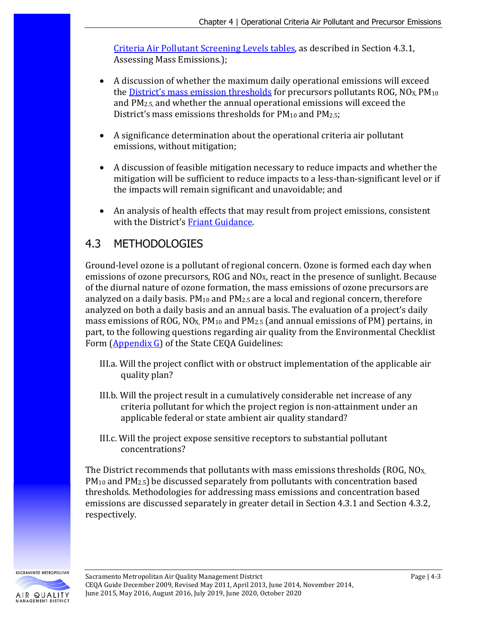[Criteria Air Pollutant Screening Levels tables,](http://www.airquality.org/Businesses/CEQA-Land-Use-Planning/CEQA-Guidance-Tools) as described in Section 4.3.1, Assessing Mass Emissions.);

- A discussion of whether the maximum daily operational emissions will exceed the *District's mass emission thresholds* for precursors pollutants ROG,  $NO<sub>X</sub>PM<sub>10</sub>$ and PM2.5, and whether the annual operational emissions will exceed the District's mass emissions thresholds for  $PM_{10}$  and  $PM_{2.5}$ ;
- A significance determination about the operational criteria air pollutant emissions, without mitigation;
- A discussion of feasible mitigation necessary to reduce impacts and whether the mitigation will be sufficient to reduce impacts to a less-than-significant level or if the impacts will remain significant and unavoidable; and
- An analysis of health effects that may result from project emissions, consistent with the District'[s Friant Guidance.](http://www.airquality.org/businesses/ceqa-land-use-planning/ceqa-guidance-tools)

## 4.3 METHODOLOGIES

Ground-level ozone is a pollutant of regional concern. Ozone is formed each day when emissions of ozone precursors, ROG and NO<sub>x</sub>, react in the presence of sunlight. Because of the diurnal nature of ozone formation, the mass emissions of ozone precursors are analyzed on a daily basis.  $PM_{10}$  and  $PM_{2.5}$  are a local and regional concern, therefore analyzed on both a daily basis and an annual basis. The evaluation of a project's daily mass emissions of ROG,  $NO<sub>X</sub>$ ,  $PM<sub>10</sub>$  and  $PM<sub>2.5</sub>$  (and annual emissions of PM) pertains, in part, to the following questions regarding air quality from the Environmental Checklist Form [\(Appendix G\)](http://califaep.org/docs/2019-Appendix_G_Checklist.pdf) of the State CEQA Guidelines:

- III.a. Will the project conflict with or obstruct implementation of the applicable air quality plan?
- III.b. Will the project result in a cumulatively considerable net increase of any criteria pollutant for which the project region is non-attainment under an applicable federal or state ambient air quality standard?
- III.c. Will the project expose sensitive receptors to substantial pollutant concentrations?

The District recommends that pollutants with mass emissions thresholds (ROG, NOX, PM10 and PM2.5) be discussed separately from pollutants with concentration based thresholds. Methodologies for addressing mass emissions and concentration based emissions are discussed separately in greater detail in Section 4.3.1 and Section 4.3.2, respectively.

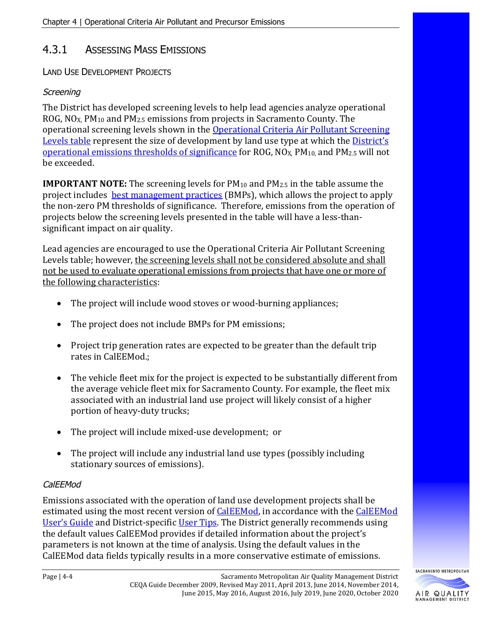### 4.3.1 ASSESSING MASS EMISSIONS

LAND USE DEVELOPMENT PROJECTS

#### **Screening**

The District has developed screening levels to help lead agencies analyze operational ROG,  $NO<sub>X</sub>$ ,  $PM<sub>10</sub>$  and  $PM<sub>2.5</sub>$  emissions from projects in Sacramento County. The operational screening levels shown in the [Operational Criteria Air Pollutant Screening](http://www.airquality.org/Businesses/CEQA-Land-Use-Planning/CEQA-Guidance-Tools)  [Levels table](http://www.airquality.org/Businesses/CEQA-Land-Use-Planning/CEQA-Guidance-Tools) represent the size of development by land use type at which the [District's](http://www.airquality.org/Businesses/CEQA-Land-Use-Planning/CEQA-Guidance-Tools)  [operational emissions thresholds of significance](http://www.airquality.org/Businesses/CEQA-Land-Use-Planning/CEQA-Guidance-Tools) for ROG, NO<sub>X</sub>, PM<sub>10</sub>, and PM<sub>2.5</sub> will not be exceeded.

**IMPORTANT NOTE:** The screening levels for PM<sub>10</sub> and PM<sub>2.5</sub> in the table assume the project includes [best management practices](http://www.airquality.org/Businesses/CEQA-Land-Use-Planning/CEQA-Guidance-Tools) (BMPs), which allows the project to apply the non-zero PM thresholds of significance. Therefore, emissions from the operation of projects below the screening levels presented in the table will have a less-thansignificant impact on air quality.

Lead agencies are encouraged to use the Operational Criteria Air Pollutant Screening Levels table; however, the screening levels shall not be considered absolute and shall not be used to evaluate operational emissions from projects that have one or more of the following characteristics:

- The project will include wood stoves or wood-burning appliances;
- The project does not include BMPs for PM emissions;
- Project trip generation rates are expected to be greater than the default trip rates in CalEEMod.;
- The vehicle fleet mix for the project is expected to be substantially different from the average vehicle fleet mix for Sacramento County. For example, the fleet mix associated with an industrial land use project will likely consist of a higher portion of heavy-duty trucks;
- The project will include mixed-use development; or
- The project will include any industrial land use types (possibly including stationary sources of emissions).

#### CalEEMod

Emissions associated with the operation of land use development projects shall be estimated using the most recent version of [CalEEMod,](http://www.caleemod.com/) in accordance with the CalEEMod [User's Guide](http://www.caleemod.com/) and District-specific [User Tips.](http://www.airquality.org/Businesses/CEQA-Land-Use-Planning/CEQA-Guidance-Tools) The District generally recommends using the default values CalEEMod provides if detailed information about the project's parameters is not known at the time of analysis. Using the default values in the CalEEMod data fields typically results in a more conservative estimate of emissions.

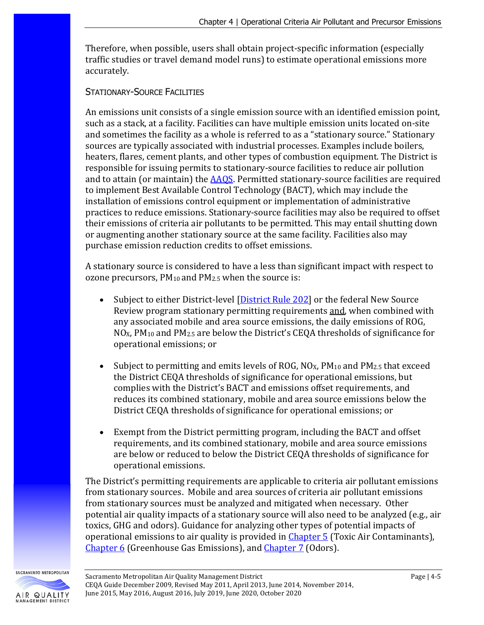Therefore, when possible, users shall obtain project-specific information (especially traffic studies or travel demand model runs) to estimate operational emissions more accurately.

#### STATIONARY-SOURCE FACILITIES

An emissions unit consists of a single emission source with an identified emission point, such as a stack, at a facility. Facilities can have multiple emission units located on-site and sometimes the facility as a whole is referred to as a "stationary source." Stationary sources are typically associated with industrial processes. Examples include boilers, heaters, flares, cement plants, and other types of combustion equipment. The District is responsible for issuing permits to stationary-source facilities to reduce air pollution and to attain (or maintain) the [AAQS.](http://www.arb.ca.gov/research/aaqs/aaqs2.pdf) Permitted stationary-source facilities are required to implement Best Available Control Technology (BACT), which may include the installation of emissions control equipment or implementation of administrative practices to reduce emissions. Stationary-source facilities may also be required to offset their emissions of criteria air pollutants to be permitted. This may entail shutting down or augmenting another stationary source at the same facility. Facilities also may purchase emission reduction credits to offset emissions.

A stationary source is considered to have a less than significant impact with respect to ozone precursors,  $PM_{10}$  and  $PM_{2.5}$  when the source is:

- Subject to either District-level [\[District Rule 202\]](http://www.airquality.org/Businesses/Rules-Regulations) or the federal New Source Review program stationary permitting requirements and, when combined with any associated mobile and area source emissions, the daily emissions of ROG,  $NQ_{X}$ , PM<sub>10</sub> and PM<sub>2.5</sub> are below the District's CEQA thresholds of significance for operational emissions; or
- Subject to permitting and emits levels of ROG,  $NQ_X$ ,  $PM_{10}$  and  $PM_{2.5}$  that exceed the District CEQA thresholds of significance for operational emissions, but complies with the District's BACT and emissions offset requirements, and reduces its combined stationary, mobile and area source emissions below the District CEQA thresholds of significance for operational emissions; or
- Exempt from the District permitting program, including the BACT and offset requirements, and its combined stationary, mobile and area source emissions are below or reduced to below the District CEQA thresholds of significance for operational emissions.

The District's permitting requirements are applicable to criteria air pollutant emissions from stationary sources. Mobile and area sources of criteria air pollutant emissions from stationary sources must be analyzed and mitigated when necessary. Other potential air quality impacts of a stationary source will also need to be analyzed (e.g., air toxics, GHG and odors). Guidance for analyzing other types of potential impacts of operational emissions to air quality is provided in [Chapter 5](http://www.airquality.org/Businesses/CEQA-Land-Use-Planning/CEQA-Guidance-Tools) (Toxic Air Contaminants), [Chapter 6](http://www.airquality.org/Businesses/CEQA-Land-Use-Planning/CEQA-Guidance-Tools) (Greenhouse Gas Emissions), and [Chapter 7](http://www.airquality.org/Businesses/CEQA-Land-Use-Planning/CEQA-Guidance-Tools) (Odors).

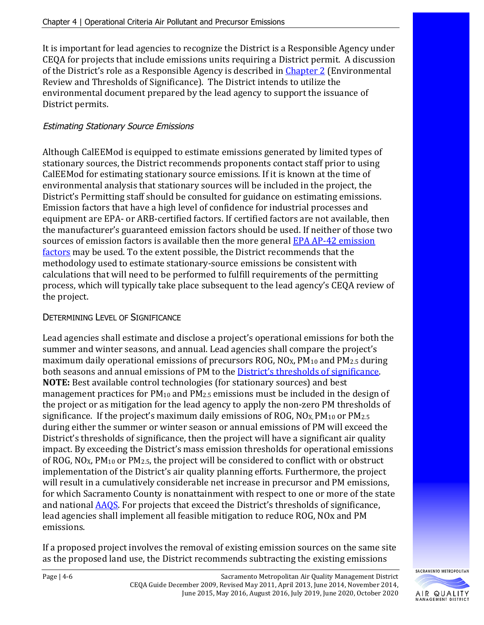It is important for lead agencies to recognize the District is a Responsible Agency under CEQA for projects that include emissions units requiring a District permit. A discussion of the District's role as a Responsible Agency is described in [Chapter 2](http://www.airquality.org/Businesses/CEQA-Land-Use-Planning/CEQA-Guidance-Tools) (Environmental Review and Thresholds of Significance). The District intends to utilize the environmental document prepared by the lead agency to support the issuance of District permits.

#### Estimating Stationary Source Emissions

Although CalEEMod is equipped to estimate emissions generated by limited types of stationary sources, the District recommends proponents contact staff prior to using CalEEMod for estimating stationary source emissions. If it is known at the time of environmental analysis that stationary sources will be included in the project, the District's Permitting staff should be consulted for guidance on estimating emissions. Emission factors that have a high level of confidence for industrial processes and equipment are EPA- or ARB-certified factors. If certified factors are not available, then the manufacturer's guaranteed emission factors should be used. If neither of those two sources of emission factors is available then the more general [EPA AP-42 emission](https://www.epa.gov/air-emissions-factors-and-quantification/ap-42-compilation-air-emission-factors)  [factors m](https://www.epa.gov/air-emissions-factors-and-quantification/ap-42-compilation-air-emission-factors)ay be used. To the extent possible, the District recommends that the methodology used to estimate stationary-source emissions be consistent with calculations that will need to be performed to fulfill requirements of the permitting process, which will typically take place subsequent to the lead agency's CEQA review of the project.

#### DETERMINING LEVEL OF SIGNIFICANCE

Lead agencies shall estimate and disclose a project's operational emissions for both the summer and winter seasons, and annual. Lead agencies shall compare the project's maximum daily operational emissions of precursors ROG,  $NO<sub>X</sub>$ ,  $PM<sub>10</sub>$  and  $PM<sub>2.5</sub>$  during both seasons and annual emissions of PM to th[e District's thresholds of significance.](http://www.airquality.org/Businesses/CEQA-Land-Use-Planning/CEQA-Guidance-Tools) **NOTE:** Best available control technologies (for stationary sources) and best management practices for PM10 and PM2.5 emissions must be included in the design of the project or as mitigation for the lead agency to apply the non-zero PM thresholds of significance. If the project's maximum daily emissions of ROG,  $NQx$ ,  $PM_{10}$  or  $PM_{2.5}$ during either the summer or winter season or annual emissions of PM will exceed the District's thresholds of significance, then the project will have a significant air quality impact. By exceeding the District's mass emission thresholds for operational emissions of ROG, NO<sub>X</sub>, PM<sub>10</sub> or PM<sub>2.5</sub>, the project will be considered to conflict with or obstruct implementation of the District's air quality planning efforts. Furthermore, the project will result in a cumulatively considerable net increase in precursor and PM emissions, for which Sacramento County is nonattainment with respect to one or more of the state and nationa[l AAQS.](http://www.arb.ca.gov/research/aaqs/aaqs2.pdf) For projects that exceed the District's thresholds of significance, lead agencies shall implement all feasible mitigation to reduce ROG, NOx and PM emissions.

If a proposed project involves the removal of existing emission sources on the same site as the proposed land use, the District recommends subtracting the existing emissions

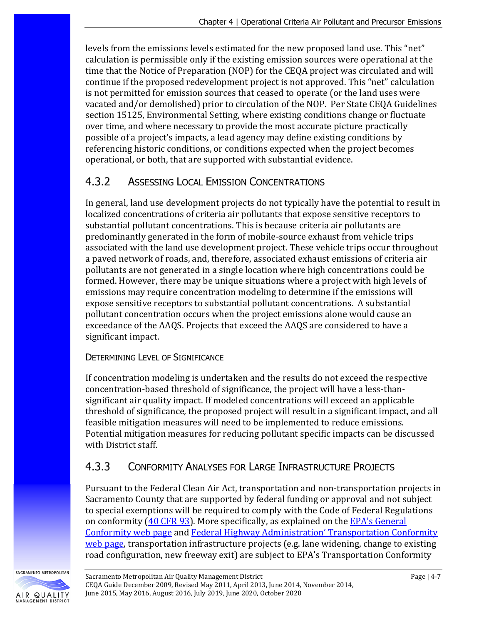levels from the emissions levels estimated for the new proposed land use. This "net" calculation is permissible only if the existing emission sources were operational at the time that the Notice of Preparation (NOP) for the CEQA project was circulated and will continue if the proposed redevelopment project is not approved. This "net" calculation is not permitted for emission sources that ceased to operate (or the land uses were vacated and/or demolished) prior to circulation of the NOP. Per State CEQA Guidelines section 15125, Environmental Setting, where existing conditions change or fluctuate over time, and where necessary to provide the most accurate picture practically possible of a project's impacts, a lead agency may define existing conditions by referencing historic conditions, or conditions expected when the project becomes operational, or both, that are supported with substantial evidence.

### 4.3.2 ASSESSING LOCAL EMISSION CONCENTRATIONS

In general, land use development projects do not typically have the potential to result in localized concentrations of criteria air pollutants that expose sensitive receptors to substantial pollutant concentrations. This is because criteria air pollutants are predominantly generated in the form of mobile-source exhaust from vehicle trips associated with the land use development project. These vehicle trips occur throughout a paved network of roads, and, therefore, associated exhaust emissions of criteria air pollutants are not generated in a single location where high concentrations could be formed. However, there may be unique situations where a project with high levels of emissions may require concentration modeling to determine if the emissions will expose sensitive receptors to substantial pollutant concentrations. A substantial pollutant concentration occurs when the project emissions alone would cause an exceedance of the AAQS. Projects that exceed the AAQS are considered to have a significant impact.

#### DETERMINING LEVEL OF SIGNIFICANCE

If concentration modeling is undertaken and the results do not exceed the respective concentration-based threshold of significance, the project will have a less-thansignificant air quality impact. If modeled concentrations will exceed an applicable threshold of significance*,* the proposed project will result in a significant impact, and all feasible mitigation measures will need to be implemented to reduce emissions. Potential mitigation measures for reducing pollutant specific impacts can be discussed with District staff.

### 4.3.3 CONFORMITY ANALYSES FOR LARGE INFRASTRUCTURE PROJECTS

Pursuant to the Federal Clean Air Act, transportation and non-transportation projects in Sacramento County that are supported by federal funding or approval and not subject to special exemptions will be required to comply with the Code of Federal Regulations on conformity  $(40 \text{ CFR } 93)$ . More specifically, as explained on the EPA's General [Conformity web page](https://www.epa.gov/general-conformity) and [Federal Highway Administration' Transportation Conformity](http://www.fhwa.dot.gov/environment/air_quality/conformity/)  [web page,](http://www.fhwa.dot.gov/environment/air_quality/conformity/) transportation infrastructure projects (e.g. lane widening, change to existing road configuration, new freeway exit) are subject to EPA's Transportation Conformity

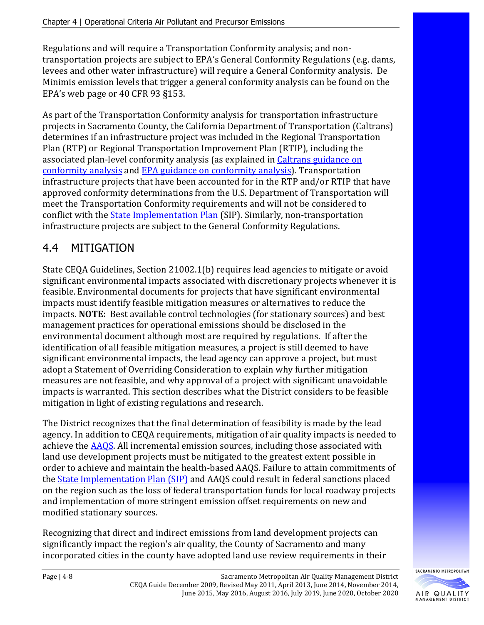Regulations and will require a Transportation Conformity analysis; and nontransportation projects are subject to EPA's General Conformity Regulations (e.g. dams, levees and other water infrastructure) will require a General Conformity analysis. De Minimis emission levels that trigger a general conformity analysis can be found on the EPA's web page or 40 CFR 93 §153.

As part of the Transportation Conformity analysis for transportation infrastructure projects in Sacramento County, the California Department of Transportation (Caltrans) determines if an infrastructure project was included in the Regional Transportation Plan (RTP) or Regional Transportation Improvement Plan (RTIP), including the associated plan-level conformity analysis (as explained i[n Caltrans guidance on](https://dot.ca.gov/programs/environmental-analysis/standard-environmental-reference-ser/volume-1-guidance-for-compliance/ch-11-air-quality#Conformity)  [conformity analysis](https://dot.ca.gov/programs/environmental-analysis/standard-environmental-reference-ser/volume-1-guidance-for-compliance/ch-11-air-quality#Conformity) and [EPA guidance on conformity analysis\)](https://www3.epa.gov/otaq/stateresources/transconf/index.htm). Transportation infrastructure projects that have been accounted for in the RTP and/or RTIP that have approved conformity determinations from the U.S. Department of Transportation will meet the Transportation Conformity requirements and will not be considered to conflict with th[e State Implementation Plan](http://www.arb.ca.gov/planning/sip/sip.htm) (SIP). Similarly, non-transportation infrastructure projects are subject to the General Conformity Regulations.

## 4.4 MITIGATION

State CEQA Guidelines, Section 21002.1(b) requires lead agencies to mitigate or avoid significant environmental impacts associated with discretionary projects whenever it is feasible. Environmental documents for projects that have significant environmental impacts must identify feasible mitigation measures or alternatives to reduce the impacts. **NOTE:** Best available control technologies (for stationary sources) and best management practices for operational emissions should be disclosed in the environmental document although most are required by regulations. If after the identification of all feasible mitigation measures, a project is still deemed to have significant environmental impacts, the lead agency can approve a project, but must adopt a Statement of Overriding Consideration to explain why further mitigation measures are not feasible, and why approval of a project with significant unavoidable impacts is warranted. This section describes what the District considers to be feasible mitigation in light of existing regulations and research.

The District recognizes that the final determination of feasibility is made by the lead agency. In addition to CEQA requirements, mitigation of air quality impacts is needed to achieve th[e AAQS.](http://www.arb.ca.gov/research/aaqs/aaqs2.pdf) All incremental emission sources, including those associated with land use development projects must be mitigated to the greatest extent possible in order to achieve and maintain the health-based AAQS. Failure to attain commitments of the [State Implementation Plan \(SIP\)](http://www.arb.ca.gov/planning/sip/sip.htm) and AAQS could result in federal sanctions placed on the region such as the loss of federal transportation funds for local roadway projects and implementation of more stringent emission offset requirements on new and modified stationary sources.

Recognizing that direct and indirect emissions from land development projects can significantly impact the region's air quality, the County of Sacramento and many incorporated cities in the county have adopted land use review requirements in their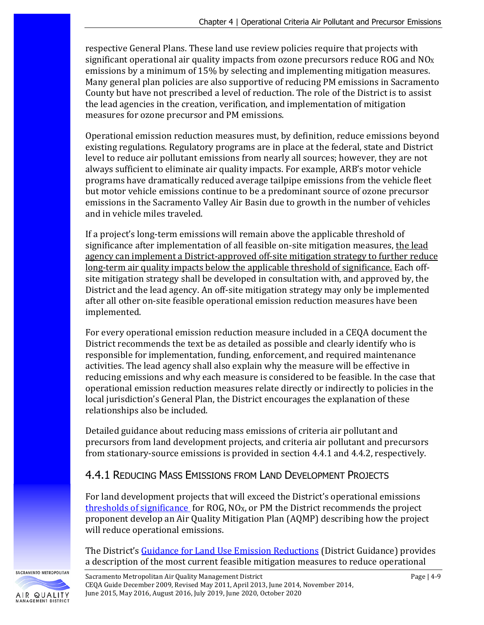respective General Plans. These land use review policies require that projects with significant operational air quality impacts from ozone precursors reduce ROG and  $NQ_X$ emissions by a minimum of 15% by selecting and implementing mitigation measures. Many general plan policies are also supportive of reducing PM emissions in Sacramento County but have not prescribed a level of reduction. The role of the District is to assist the lead agencies in the creation, verification, and implementation of mitigation measures for ozone precursor and PM emissions.

Operational emission reduction measures must, by definition, reduce emissions beyond existing regulations. Regulatory programs are in place at the federal, state and District level to reduce air pollutant emissions from nearly all sources; however, they are not always sufficient to eliminate air quality impacts. For example, ARB's motor vehicle programs have dramatically reduced average tailpipe emissions from the vehicle fleet but motor vehicle emissions continue to be a predominant source of ozone precursor emissions in the Sacramento Valley Air Basin due to growth in the number of vehicles and in vehicle miles traveled.

If a project's long-term emissions will remain above the applicable threshold of significance after implementation of all feasible on-site mitigation measures, the lead agency can implement a District-approved off-site mitigation strategy to further reduce long-term air quality impacts below the applicable threshold of significance. Each offsite mitigation strategy shall be developed in consultation with, and approved by, the District and the lead agency. An off-site mitigation strategy may only be implemented after all other on-site feasible operational emission reduction measures have been implemented.

For every operational emission reduction measure included in a CEQA document the District recommends the text be as detailed as possible and clearly identify who is responsible for implementation, funding, enforcement, and required maintenance activities. The lead agency shall also explain why the measure will be effective in reducing emissions and why each measure is considered to be feasible. In the case that operational emission reduction measures relate directly or indirectly to policies in the local jurisdiction's General Plan, the District encourages the explanation of these relationships also be included.

Detailed guidance about reducing mass emissions of criteria air pollutant and precursors from land development projects, and criteria air pollutant and precursors from stationary-source emissions is provided in section 4.4.1 and 4.4.2, respectively.

### 4.4.1 REDUCING MASS EMISSIONS FROM LAND DEVELOPMENT PROJECTS

For land development projects that will exceed the District's operational emissions [thresholds of significance](http://www.airquality.org/Businesses/CEQA-Land-Use-Planning/CEQA-Guidance-Tools) for ROG,  $NQ_X$ , or PM the District recommends the project proponent develop an Air Quality Mitigation Plan (AQMP) describing how the project will reduce operational emissions.

The District's [Guidance for Land Use Emission Reductions](http://www.airquality.org/businesses/ceqa-land-use-planning/mitigation) (District Guidance) provides a description of the most current feasible mitigation measures to reduce operational

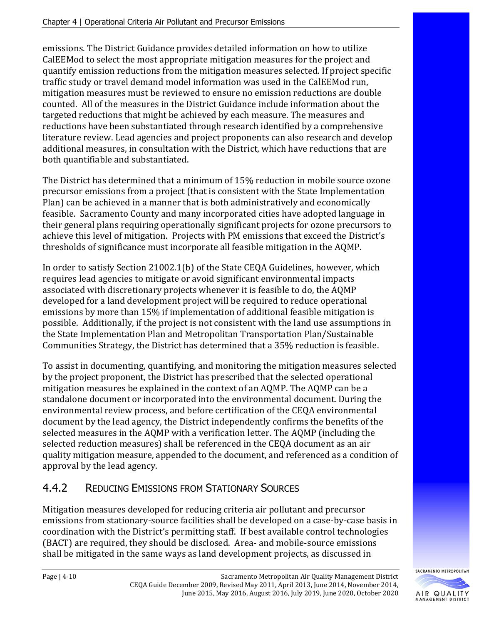emissions. The District Guidance provides detailed information on how to utilize CalEEMod to select the most appropriate mitigation measures for the project and quantify emission reductions from the mitigation measures selected. If project specific traffic study or travel demand model information was used in the CalEEMod run, mitigation measures must be reviewed to ensure no emission reductions are double counted. All of the measures in the District Guidance include information about the targeted reductions that might be achieved by each measure. The measures and reductions have been substantiated through research identified by a comprehensive literature review. Lead agencies and project proponents can also research and develop additional measures, in consultation with the District, which have reductions that are both quantifiable and substantiated.

The District has determined that a minimum of 15% reduction in mobile source ozone precursor emissions from a project (that is consistent with the State Implementation Plan) can be achieved in a manner that is both administratively and economically feasible. Sacramento County and many incorporated cities have adopted language in their general plans requiring operationally significant projects for ozone precursors to achieve this level of mitigation. Projects with PM emissions that exceed the District's thresholds of significance must incorporate all feasible mitigation in the AQMP.

In order to satisfy Section 21002.1(b) of the State CEQA Guidelines, however, which requires lead agencies to mitigate or avoid significant environmental impacts associated with discretionary projects whenever it is feasible to do, the AQMP developed for a land development project will be required to reduce operational emissions by more than 15% if implementation of additional feasible mitigation is possible. Additionally, if the project is not consistent with the land use assumptions in the State Implementation Plan and Metropolitan Transportation Plan/Sustainable Communities Strategy, the District has determined that a 35% reduction is feasible.

To assist in documenting, quantifying, and monitoring the mitigation measures selected by the project proponent, the District has prescribed that the selected operational mitigation measures be explained in the context of an AQMP. The AQMP can be a standalone document or incorporated into the environmental document. During the environmental review process, and before certification of the CEQA environmental document by the lead agency, the District independently confirms the benefits of the selected measures in the AQMP with a verification letter. The AQMP (including the selected reduction measures) shall be referenced in the CEQA document as an air quality mitigation measure, appended to the document, and referenced as a condition of approval by the lead agency.

## 4.4.2 REDUCING EMISSIONS FROM STATIONARY SOURCES

Mitigation measures developed for reducing criteria air pollutant and precursor emissions from stationary-source facilities shall be developed on a case-by-case basis in coordination with the District's permitting staff. If best available control technologies (BACT) are required, they should be disclosed. Area- and mobile-source emissions shall be mitigated in the same ways as land development projects, as discussed in